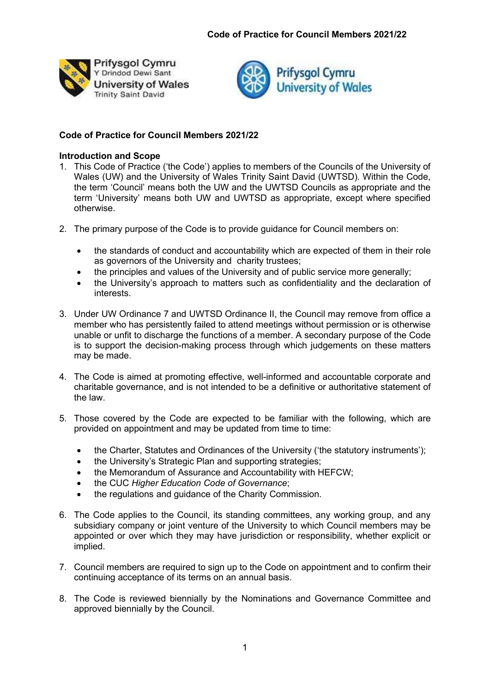



# Code of Practice for Council Members 2021/22

# Introduction and Scope

- 1. This Code of Practice ('the Code') applies to members of the Councils of the University of Wales (UW) and the University of Wales Trinity Saint David (UWTSD). Within the Code, the term 'Council' means both the UW and the UWTSD Councils as appropriate and the term 'University' means both UW and UWTSD as appropriate, except where specified otherwise.
- 2. The primary purpose of the Code is to provide guidance for Council members on:
	- the standards of conduct and accountability which are expected of them in their role as governors of the University and charity trustees;
	- the principles and values of the University and of public service more generally;
	- the University's approach to matters such as confidentiality and the declaration of interests.
- 3. Under UW Ordinance 7 and UWTSD Ordinance II, the Council may remove from office a member who has persistently failed to attend meetings without permission or is otherwise unable or unfit to discharge the functions of a member. A secondary purpose of the Code is to support the decision-making process through which judgements on these matters may be made.
- 4. The Code is aimed at promoting effective, well-informed and accountable corporate and charitable governance, and is not intended to be a definitive or authoritative statement of the law.
- 5. Those covered by the Code are expected to be familiar with the following, which are provided on appointment and may be updated from time to time:
	- the Charter, Statutes and Ordinances of the University ('the statutory instruments');
	- the University's Strategic Plan and supporting strategies;
	- the Memorandum of Assurance and Accountability with HEFCW;
	- the CUC Higher Education Code of Governance;
	- the regulations and guidance of the Charity Commission.
- 6. The Code applies to the Council, its standing committees, any working group, and any subsidiary company or joint venture of the University to which Council members may be appointed or over which they may have jurisdiction or responsibility, whether explicit or implied.
- 7. Council members are required to sign up to the Code on appointment and to confirm their continuing acceptance of its terms on an annual basis.
- 8. The Code is reviewed biennially by the Nominations and Governance Committee and approved biennially by the Council.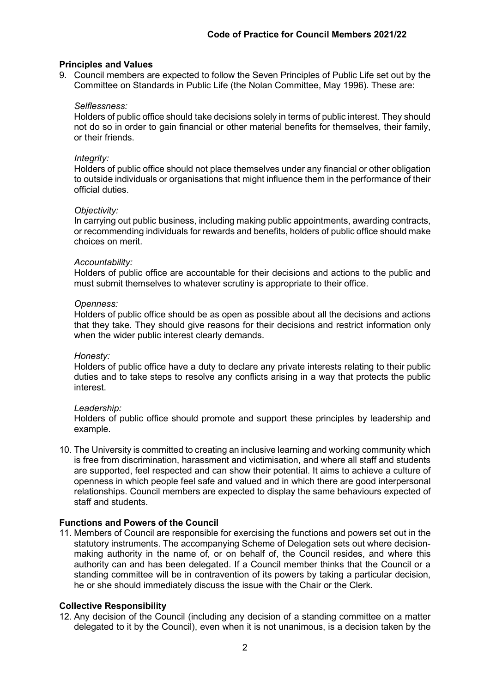## Principles and Values

9. Council members are expected to follow the Seven Principles of Public Life set out by the Committee on Standards in Public Life (the Nolan Committee, May 1996). These are:

### Selflessness:

Holders of public office should take decisions solely in terms of public interest. They should not do so in order to gain financial or other material benefits for themselves, their family, or their friends.

## Integrity:

Holders of public office should not place themselves under any financial or other obligation to outside individuals or organisations that might influence them in the performance of their official duties.

## Objectivity:

In carrying out public business, including making public appointments, awarding contracts, or recommending individuals for rewards and benefits, holders of public office should make choices on merit.

#### Accountability:

Holders of public office are accountable for their decisions and actions to the public and must submit themselves to whatever scrutiny is appropriate to their office.

## Openness:

Holders of public office should be as open as possible about all the decisions and actions that they take. They should give reasons for their decisions and restrict information only when the wider public interest clearly demands.

#### Honesty:

Holders of public office have a duty to declare any private interests relating to their public duties and to take steps to resolve any conflicts arising in a way that protects the public interest.

#### Leadership:

Holders of public office should promote and support these principles by leadership and example.

10. The University is committed to creating an inclusive learning and working community which is free from discrimination, harassment and victimisation, and where all staff and students are supported, feel respected and can show their potential. It aims to achieve a culture of openness in which people feel safe and valued and in which there are good interpersonal relationships. Council members are expected to display the same behaviours expected of staff and students.

# Functions and Powers of the Council

11. Members of Council are responsible for exercising the functions and powers set out in the statutory instruments. The accompanying Scheme of Delegation sets out where decisionmaking authority in the name of, or on behalf of, the Council resides, and where this authority can and has been delegated. If a Council member thinks that the Council or a standing committee will be in contravention of its powers by taking a particular decision, he or she should immediately discuss the issue with the Chair or the Clerk.

# Collective Responsibility

12. Any decision of the Council (including any decision of a standing committee on a matter delegated to it by the Council), even when it is not unanimous, is a decision taken by the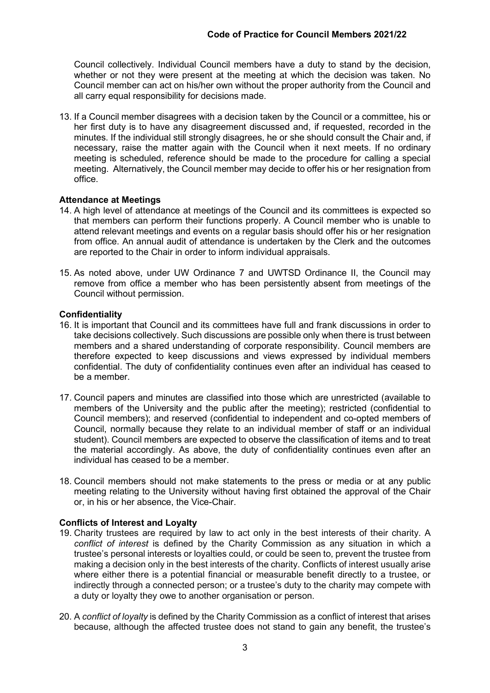Council collectively. Individual Council members have a duty to stand by the decision, whether or not they were present at the meeting at which the decision was taken. No Council member can act on his/her own without the proper authority from the Council and all carry equal responsibility for decisions made.

13. If a Council member disagrees with a decision taken by the Council or a committee, his or her first duty is to have any disagreement discussed and, if requested, recorded in the minutes. If the individual still strongly disagrees, he or she should consult the Chair and, if necessary, raise the matter again with the Council when it next meets. If no ordinary meeting is scheduled, reference should be made to the procedure for calling a special meeting. Alternatively, the Council member may decide to offer his or her resignation from office.

# Attendance at Meetings

- 14. A high level of attendance at meetings of the Council and its committees is expected so that members can perform their functions properly. A Council member who is unable to attend relevant meetings and events on a regular basis should offer his or her resignation from office. An annual audit of attendance is undertaken by the Clerk and the outcomes are reported to the Chair in order to inform individual appraisals.
- 15. As noted above, under UW Ordinance 7 and UWTSD Ordinance II, the Council may remove from office a member who has been persistently absent from meetings of the Council without permission.

# **Confidentiality**

- 16. It is important that Council and its committees have full and frank discussions in order to take decisions collectively. Such discussions are possible only when there is trust between members and a shared understanding of corporate responsibility. Council members are therefore expected to keep discussions and views expressed by individual members confidential. The duty of confidentiality continues even after an individual has ceased to be a member.
- 17. Council papers and minutes are classified into those which are unrestricted (available to members of the University and the public after the meeting); restricted (confidential to Council members); and reserved (confidential to independent and co-opted members of Council, normally because they relate to an individual member of staff or an individual student). Council members are expected to observe the classification of items and to treat the material accordingly. As above, the duty of confidentiality continues even after an individual has ceased to be a member.
- 18. Council members should not make statements to the press or media or at any public meeting relating to the University without having first obtained the approval of the Chair or, in his or her absence, the Vice-Chair.

# Conflicts of Interest and Loyalty

- 19. Charity trustees are required by law to act only in the best interests of their charity. A conflict of interest is defined by the Charity Commission as any situation in which a trustee's personal interests or loyalties could, or could be seen to, prevent the trustee from making a decision only in the best interests of the charity. Conflicts of interest usually arise where either there is a potential financial or measurable benefit directly to a trustee, or indirectly through a connected person; or a trustee's duty to the charity may compete with a duty or loyalty they owe to another organisation or person.
- 20. A conflict of loyalty is defined by the Charity Commission as a conflict of interest that arises because, although the affected trustee does not stand to gain any benefit, the trustee's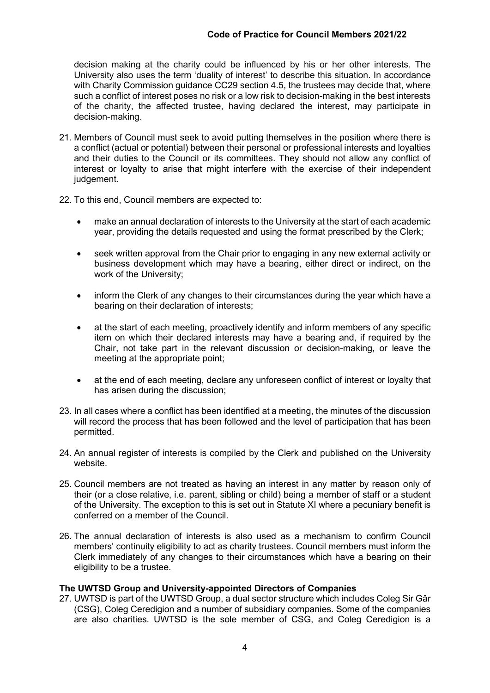decision making at the charity could be influenced by his or her other interests. The University also uses the term 'duality of interest' to describe this situation. In accordance with Charity Commission guidance CC29 section 4.5, the trustees may decide that, where such a conflict of interest poses no risk or a low risk to decision-making in the best interests of the charity, the affected trustee, having declared the interest, may participate in decision-making.

- 21. Members of Council must seek to avoid putting themselves in the position where there is a conflict (actual or potential) between their personal or professional interests and loyalties and their duties to the Council or its committees. They should not allow any conflict of interest or loyalty to arise that might interfere with the exercise of their independent judgement.
- 22. To this end, Council members are expected to:
	- make an annual declaration of interests to the University at the start of each academic year, providing the details requested and using the format prescribed by the Clerk;
	- seek written approval from the Chair prior to engaging in any new external activity or business development which may have a bearing, either direct or indirect, on the work of the University;
	- inform the Clerk of any changes to their circumstances during the year which have a bearing on their declaration of interests;
	- at the start of each meeting, proactively identify and inform members of any specific item on which their declared interests may have a bearing and, if required by the Chair, not take part in the relevant discussion or decision-making, or leave the meeting at the appropriate point;
	- at the end of each meeting, declare any unforeseen conflict of interest or loyalty that has arisen during the discussion;
- 23. In all cases where a conflict has been identified at a meeting, the minutes of the discussion will record the process that has been followed and the level of participation that has been permitted.
- 24. An annual register of interests is compiled by the Clerk and published on the University website.
- 25. Council members are not treated as having an interest in any matter by reason only of their (or a close relative, i.e. parent, sibling or child) being a member of staff or a student of the University. The exception to this is set out in Statute XI where a pecuniary benefit is conferred on a member of the Council.
- 26. The annual declaration of interests is also used as a mechanism to confirm Council members' continuity eligibility to act as charity trustees. Council members must inform the Clerk immediately of any changes to their circumstances which have a bearing on their eligibility to be a trustee.

# The UWTSD Group and University-appointed Directors of Companies

27. UWTSD is part of the UWTSD Group, a dual sector structure which includes Coleg Sir Gâr (CSG), Coleg Ceredigion and a number of subsidiary companies. Some of the companies are also charities. UWTSD is the sole member of CSG, and Coleg Ceredigion is a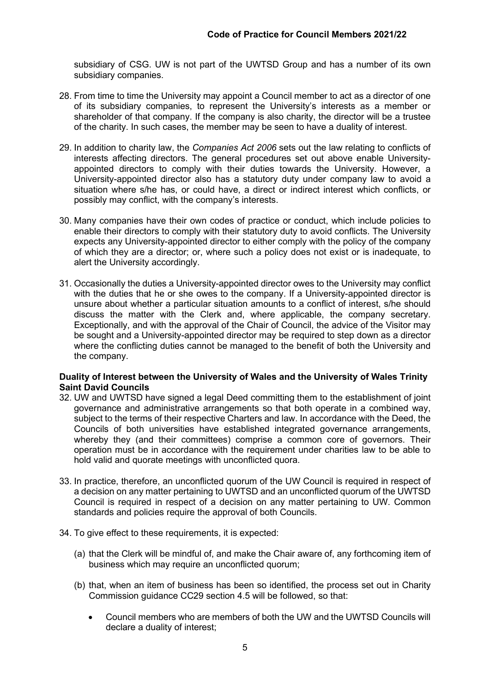subsidiary of CSG. UW is not part of the UWTSD Group and has a number of its own subsidiary companies.

- 28. From time to time the University may appoint a Council member to act as a director of one of its subsidiary companies, to represent the University's interests as a member or shareholder of that company. If the company is also charity, the director will be a trustee of the charity. In such cases, the member may be seen to have a duality of interest.
- 29. In addition to charity law, the Companies Act 2006 sets out the law relating to conflicts of interests affecting directors. The general procedures set out above enable Universityappointed directors to comply with their duties towards the University. However, a University-appointed director also has a statutory duty under company law to avoid a situation where s/he has, or could have, a direct or indirect interest which conflicts, or possibly may conflict, with the company's interests.
- 30. Many companies have their own codes of practice or conduct, which include policies to enable their directors to comply with their statutory duty to avoid conflicts. The University expects any University-appointed director to either comply with the policy of the company of which they are a director; or, where such a policy does not exist or is inadequate, to alert the University accordingly.
- 31. Occasionally the duties a University-appointed director owes to the University may conflict with the duties that he or she owes to the company. If a University-appointed director is unsure about whether a particular situation amounts to a conflict of interest, s/he should discuss the matter with the Clerk and, where applicable, the company secretary. Exceptionally, and with the approval of the Chair of Council, the advice of the Visitor may be sought and a University-appointed director may be required to step down as a director where the conflicting duties cannot be managed to the benefit of both the University and the company.

# Duality of Interest between the University of Wales and the University of Wales Trinity Saint David Councils

- 32. UW and UWTSD have signed a legal Deed committing them to the establishment of joint governance and administrative arrangements so that both operate in a combined way, subject to the terms of their respective Charters and law. In accordance with the Deed, the Councils of both universities have established integrated governance arrangements, whereby they (and their committees) comprise a common core of governors. Their operation must be in accordance with the requirement under charities law to be able to hold valid and quorate meetings with unconflicted quora.
- 33. In practice, therefore, an unconflicted quorum of the UW Council is required in respect of a decision on any matter pertaining to UWTSD and an unconflicted quorum of the UWTSD Council is required in respect of a decision on any matter pertaining to UW. Common standards and policies require the approval of both Councils.
- 34. To give effect to these requirements, it is expected:
	- (a) that the Clerk will be mindful of, and make the Chair aware of, any forthcoming item of business which may require an unconflicted quorum;
	- (b) that, when an item of business has been so identified, the process set out in Charity Commission guidance CC29 section 4.5 will be followed, so that:
		- Council members who are members of both the UW and the UWTSD Councils will declare a duality of interest;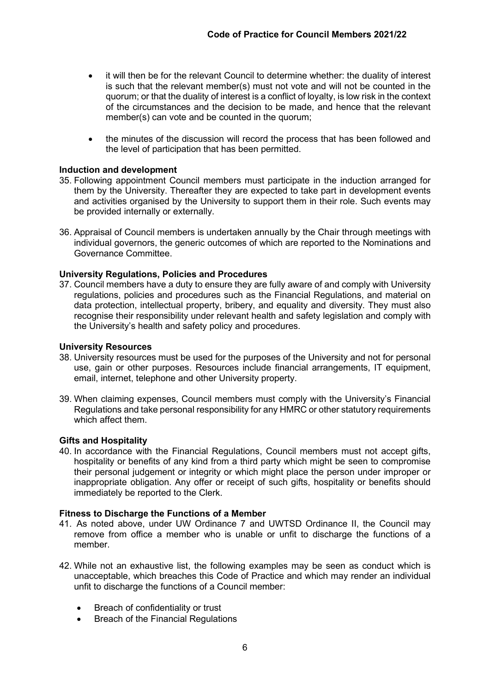- it will then be for the relevant Council to determine whether: the duality of interest is such that the relevant member(s) must not vote and will not be counted in the quorum; or that the duality of interest is a conflict of loyalty, is low risk in the context of the circumstances and the decision to be made, and hence that the relevant member(s) can vote and be counted in the quorum;
- the minutes of the discussion will record the process that has been followed and the level of participation that has been permitted.

## Induction and development

- 35. Following appointment Council members must participate in the induction arranged for them by the University. Thereafter they are expected to take part in development events and activities organised by the University to support them in their role. Such events may be provided internally or externally.
- 36. Appraisal of Council members is undertaken annually by the Chair through meetings with individual governors, the generic outcomes of which are reported to the Nominations and Governance Committee.

## University Regulations, Policies and Procedures

37. Council members have a duty to ensure they are fully aware of and comply with University regulations, policies and procedures such as the Financial Regulations, and material on data protection, intellectual property, bribery, and equality and diversity. They must also recognise their responsibility under relevant health and safety legislation and comply with the University's health and safety policy and procedures.

### University Resources

- 38. University resources must be used for the purposes of the University and not for personal use, gain or other purposes. Resources include financial arrangements, IT equipment, email, internet, telephone and other University property.
- 39. When claiming expenses, Council members must comply with the University's Financial Regulations and take personal responsibility for any HMRC or other statutory requirements which affect them.

#### Gifts and Hospitality

40. In accordance with the Financial Regulations, Council members must not accept gifts, hospitality or benefits of any kind from a third party which might be seen to compromise their personal judgement or integrity or which might place the person under improper or inappropriate obligation. Any offer or receipt of such gifts, hospitality or benefits should immediately be reported to the Clerk.

#### Fitness to Discharge the Functions of a Member

- 41. As noted above, under UW Ordinance 7 and UWTSD Ordinance II, the Council may remove from office a member who is unable or unfit to discharge the functions of a member.
- 42. While not an exhaustive list, the following examples may be seen as conduct which is unacceptable, which breaches this Code of Practice and which may render an individual unfit to discharge the functions of a Council member:
	- Breach of confidentiality or trust
	- Breach of the Financial Regulations